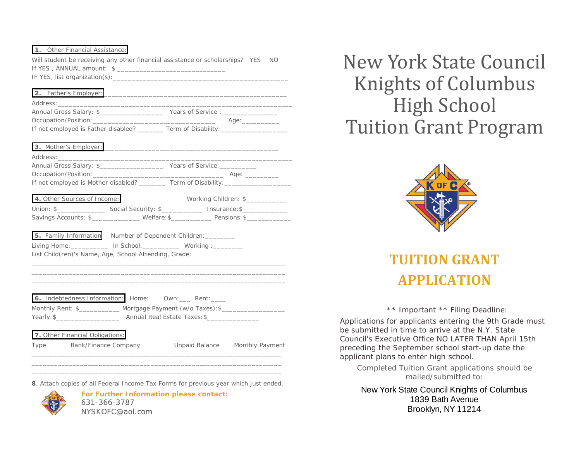## **1.** Other Financial Assistance:

Will student be receiving any other financial assistance or scholarships? YES NO If YES, ANNUAL amount: \$ IF YES, list organization(s):\_\_\_\_\_\_\_\_\_\_\_\_\_\_\_\_\_\_\_\_\_\_\_\_\_\_\_\_\_\_\_\_\_\_\_\_\_\_\_\_\_\_\_\_\_\_\_

| 2. Father's Employer:                                                            |                                      |                                                                                                                                                                                                                                |
|----------------------------------------------------------------------------------|--------------------------------------|--------------------------------------------------------------------------------------------------------------------------------------------------------------------------------------------------------------------------------|
| Annual Gross Salary: \$                                                          | Years of Service : _________________ |                                                                                                                                                                                                                                |
|                                                                                  |                                      | Age: a contract the contract of the contract of the contract of the contract of the contract of the contract of the contract of the contract of the contract of the contract of the contract of the contract of the contract o |
| If not employed is Father disabled? ________ Term of Disability: _______________ |                                      |                                                                                                                                                                                                                                |

| <b>3.</b> IVIOLITIEL S ETTIPIOVEL: $\frac{1}{2}$                                                                                                                                                                               |                                                                                  |
|--------------------------------------------------------------------------------------------------------------------------------------------------------------------------------------------------------------------------------|----------------------------------------------------------------------------------|
|                                                                                                                                                                                                                                |                                                                                  |
| Annual Gross Salary: \$                                                                                                                                                                                                        | Years of Service: ____________                                                   |
| Occupation/Position: National Accounts and Accounts and Accounts and Accounts and Accounts and Accounts and Accounts and Accounts and Accounts and Accounts and Accounts and Accounts and Accounts and Accounts and Accounts a | Age: ____________                                                                |
|                                                                                                                                                                                                                                | If not employed is Mother disabled? _________ Term of Disability: ______________ |
|                                                                                                                                                                                                                                |                                                                                  |
| 4. Other Sources of Income:                                                                                                                                                                                                    | Working Children: \$                                                             |

| Union: \$            | Social Security: \$ | Insurance: \$ |
|----------------------|---------------------|---------------|
| Savings Accounts: \$ | Welfare: \$         | Pensions: \$  |

\_\_\_\_\_\_\_\_\_\_\_\_\_\_\_\_\_\_\_\_\_\_\_\_\_\_\_\_\_\_\_\_\_\_\_\_\_\_\_\_\_\_\_\_\_\_\_\_\_\_\_\_\_\_\_\_\_\_\_\_\_\_\_\_\_\_\_\_ \_\_\_\_\_\_\_\_\_\_\_\_\_\_\_\_\_\_\_\_\_\_\_\_\_\_\_\_\_\_\_\_\_\_\_\_\_\_\_\_\_\_\_\_\_\_\_\_\_\_\_\_\_\_\_\_\_\_\_\_\_\_\_\_\_\_\_\_ \_\_\_\_\_\_\_\_\_\_\_\_\_\_\_\_\_\_\_\_\_\_\_\_\_\_\_\_\_\_\_\_\_\_\_\_\_\_\_\_\_\_\_\_\_\_\_\_\_\_\_\_\_\_\_\_\_\_\_\_\_\_\_\_\_\_\_\_

| 5. Family Information | Number of Dependent Children: |          |
|-----------------------|-------------------------------|----------|
| Living Home:          | In School:                    | Working: |

List Child(ren)'s Name, Age, School Attending, Grade:

| 6. Indebtedness Information: Home: |                                  | Own: | Rent: |
|------------------------------------|----------------------------------|------|-------|
| Monthly Rent: \$_                  | Mortgage Payment (w/o Taxes): \$ |      |       |
| Yearly: \$__                       | Annual Real Estate Taxes: \$     |      |       |

# **7.** Other Financial Obligations:

Type Bank/Finance Company Unpaid Balance Monthly Payment

\_\_\_\_\_\_\_\_\_\_\_\_\_\_\_\_\_\_\_\_\_\_\_\_\_\_\_\_\_\_\_\_\_\_\_\_\_\_\_\_\_\_\_\_\_\_\_\_\_\_\_\_\_\_\_\_\_\_\_\_\_\_\_\_\_\_\_ **8**. Attach copies of all Federal Income Tax Forms for previous year which just ended.

\_\_\_\_\_\_\_\_\_\_\_\_\_\_\_\_\_\_\_\_\_\_\_\_\_\_\_\_\_\_\_\_\_\_\_\_\_\_\_\_\_\_\_\_\_\_\_\_\_\_\_\_\_\_\_\_\_\_\_\_\_\_\_\_\_\_\_ \_\_\_\_\_\_\_\_\_\_\_\_\_\_\_\_\_\_\_\_\_\_\_\_\_\_\_\_\_\_\_\_\_\_\_\_\_\_\_\_\_\_\_\_\_\_\_\_\_\_\_\_\_\_\_\_\_\_\_\_\_\_\_\_\_\_\_



**For Further Information please contact:**  631-366-3787 NYSKOFC@aol.com

New York State Council Knights of Columbus High School Tuition Grant Program



# **TUITION GRANT APPLICATION**

\*\* Important \*\* Filing Deadline:

Applications for applicants entering the 9th Grade must be submitted in time to arrive at the N.Y. State Council's Executive Office NO LATER THAN April 15th preceding the September school start-up date the applicant plans to enter high school.

Completed Tuition Grant applications should be mailed/submitted to:

NY State Council Knights of Columbus 1839 Bath Avenue New York State Council Knights of Columbus Brooklyn, NY 11214